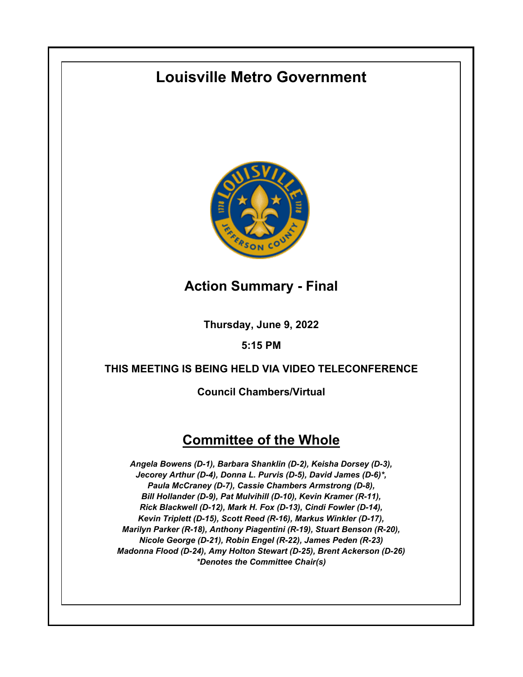# **Louisville Metro Government**



## **Action Summary - Final**

**Thursday, June 9, 2022**

### **5:15 PM**

### **THIS MEETING IS BEING HELD VIA VIDEO TELECONFERENCE**

**Council Chambers/Virtual**

## **Committee of the Whole**

*Angela Bowens (D-1), Barbara Shanklin (D-2), Keisha Dorsey (D-3), Jecorey Arthur (D-4), Donna L. Purvis (D-5), David James (D-6)\*, Paula McCraney (D-7), Cassie Chambers Armstrong (D-8), Bill Hollander (D-9), Pat Mulvihill (D-10), Kevin Kramer (R-11), Rick Blackwell (D-12), Mark H. Fox (D-13), Cindi Fowler (D-14), Kevin Triplett (D-15), Scott Reed (R-16), Markus Winkler (D-17), Marilyn Parker (R-18), Anthony Piagentini (R-19), Stuart Benson (R-20), Nicole George (D-21), Robin Engel (R-22), James Peden (R-23) Madonna Flood (D-24), Amy Holton Stewart (D-25), Brent Ackerson (D-26) \*Denotes the Committee Chair(s)*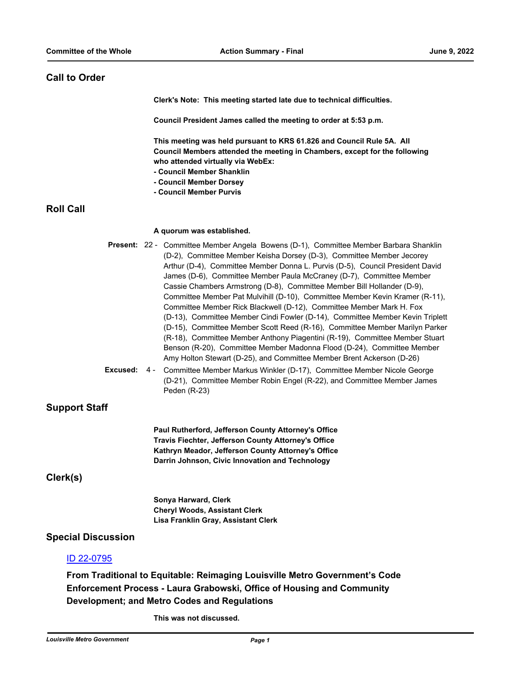#### **Call to Order**

**Clerk's Note: This meeting started late due to technical difficulties.** 

**Council President James called the meeting to order at 5:53 p.m.**

**This meeting was held pursuant to KRS 61.826 and Council Rule 5A. All Council Members attended the meeting in Chambers, except for the following who attended virtually via WebEx:**

- **Council Member Shanklin**
- **Council Member Dorsey**
- **Council Member Purvis**

#### **Roll Call**

#### **A quorum was established.**

|          |     | <b>Present:</b> 22 - Committee Member Angela Bowens (D-1), Committee Member Barbara Shanklin |
|----------|-----|----------------------------------------------------------------------------------------------|
|          |     | (D-2), Committee Member Keisha Dorsey (D-3), Committee Member Jecorey                        |
|          |     | Arthur (D-4), Committee Member Donna L. Purvis (D-5), Council President David                |
|          |     | James (D-6), Committee Member Paula McCraney (D-7), Committee Member                         |
|          |     | Cassie Chambers Armstrong (D-8), Committee Member Bill Hollander (D-9),                      |
|          |     | Committee Member Pat Mulvihill (D-10), Committee Member Kevin Kramer (R-11),                 |
|          |     | Committee Member Rick Blackwell (D-12), Committee Member Mark H. Fox                         |
|          |     | (D-13), Committee Member Cindi Fowler (D-14), Committee Member Kevin Triplett                |
|          |     | (D-15), Committee Member Scott Reed (R-16), Committee Member Marilyn Parker                  |
|          |     | (R-18), Committee Member Anthony Piagentini (R-19), Committee Member Stuart                  |
|          |     | Benson (R-20), Committee Member Madonna Flood (D-24), Committee Member                       |
|          |     | Amy Holton Stewart (D-25), and Committee Member Brent Ackerson (D-26)                        |
| Excused: | 4 - | Committee Member Markus Winkler (D-17), Committee Member Nicole George                       |

(D-21), Committee Member Robin Engel (R-22), and Committee Member James Peden (R-23)

#### **Support Staff**

**Paul Rutherford, Jefferson County Attorney's Office Travis Fiechter, Jefferson County Attorney's Office Kathryn Meador, Jefferson County Attorney's Office Darrin Johnson, Civic Innovation and Technology**

**Clerk(s)**

**Sonya Harward, Clerk Cheryl Woods, Assistant Clerk Lisa Franklin Gray, Assistant Clerk**

#### **Special Discussion**

#### [ID 22-0795](http://louisville.legistar.com/gateway.aspx?m=l&id=/matter.aspx?key=60665)

**From Traditional to Equitable: Reimaging Louisville Metro Government's Code Enforcement Process - Laura Grabowski, Office of Housing and Community Development; and Metro Codes and Regulations**

**This was not discussed.**